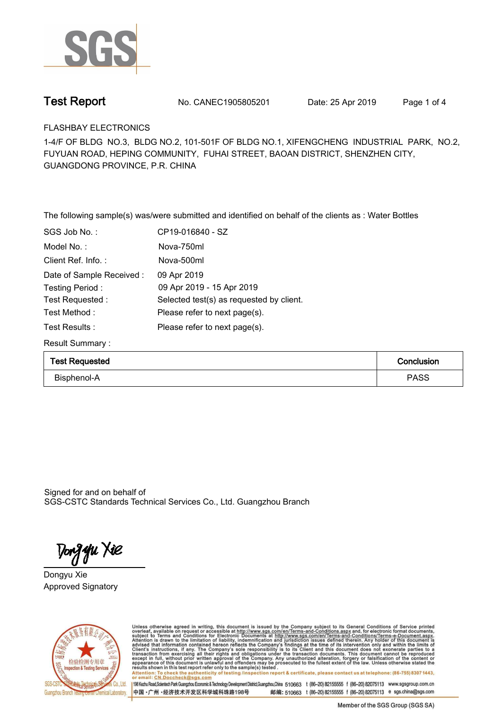

**Test Report. No. CANEC1905805201** Date: 25 Apr 2019 Page 1 of 4

**FLASHBAY ELECTRONICS.**

**1-4/F OF BLDG NO.3, BLDG NO.2, 101-501F OF BLDG NO.1, XIFENGCHENG INDUSTRIAL PARK, NO.2, FUYUAN ROAD, HEPING COMMUNITY, FUHAI STREET, BAOAN DISTRICT, SHENZHEN CITY, GUANGDONG PROVINCE, P.R. CHINA**

**The following sample(s) was/were submitted and identified on behalf of the clients as : Water Bottles.**

| SGS Job No.:             | CP19-016840 - SZ                         |
|--------------------------|------------------------------------------|
| Model No.:               | Nova-750ml                               |
| Client Ref. Info.:       | Nova-500ml                               |
| Date of Sample Received: | 09 Apr 2019                              |
| Testing Period:          | 09 Apr 2019 - 15 Apr 2019                |
| Test Requested:          | Selected test(s) as requested by client. |
| Test Method:             | Please refer to next page(s).            |
| Test Results :           | Please refer to next page(s).            |
|                          |                                          |

**Result Summary :.**

| <b>Test Requested</b> | Conclusion |  |
|-----------------------|------------|--|
| Bisphenol-A           | PASS       |  |

Signed for and on behalf of SGS-CSTC Standards Technical Services Co., Ltd. Guangzhou Branch.

Tong **y**u Xie

**Dongyu Xie. Approved Signatory. . .**



Unless otherwise agreed in writing, this document is issued by the Company subject to its General Conditions of Service printed overleaf, available on request or accessible at http://www.sgs.com/en/Terms-and-Conditions.asp results shown in this test report ferer only to the sample(s) tested .<br>Attention: To check the authenticity of testing /inspection report & certificate, please contact us at telephone: (86-755) 8307 1443,<br>or email: <u>CN.Doc</u>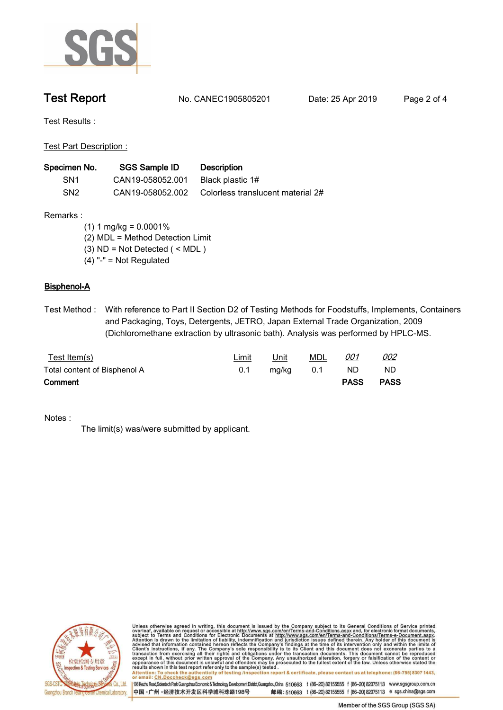

**Test Report. No. CANEC1905805201 Date: 25 Apr 2019. Page 2 of 4.**

**Test Results :.**

**Test Part Description :.**

| Specimen No.    | SGS Sample ID    | <b>Description</b>                |
|-----------------|------------------|-----------------------------------|
| SN <sub>1</sub> | CAN19-058052.001 | Black plastic 1#                  |
| SN <sub>2</sub> | CAN19-058052.002 | Colorless translucent material 2# |

**Remarks :**

 **(1) 1 mg/kg = 0.0001%**

 **(2) MDL = Method Detection Limit**

 **(3) ND = Not Detected ( < MDL )**

 **(4) "-" = Not Regulated**

## **Bisphenol-A.**

**Test Method :. With reference to Part II Section D2 of Testing Methods for Foodstuffs, Implements, Containers and Packaging, Toys, Detergents, JETRO, Japan External Trade Organization, 2009 (Dichloromethane extraction by ultrasonic bath). Analysis was performed by HPLC-MS..**

| <u>Test Item(s)</u>          | <b>Limit</b> | Unit  | MDL | <u>001</u>  | <u>002</u>  |
|------------------------------|--------------|-------|-----|-------------|-------------|
| Total content of Bisphenol A | 0.1          | mg/kg | 0.1 | ND.         | ND          |
| Comment                      |              |       |     | <b>PASS</b> | <b>PASS</b> |

**Notes :.**

**The limit(s) was/were submitted by applicant..**



Unless otherwise agreed in writing, this document is issued by the Company subject to its General Conditions of Service printed overleaf, available on request or accessible at http://www.sgs.com/en/Terms-and-Conditions.asp results snown in this test report refer only to the sample(s) tested .<br>Attention: To check the authenticity of testing /inspection report & certificate, please contact us at telephone: (86-755) 8307 1443,<br>or email: <u>CN.Doc</u>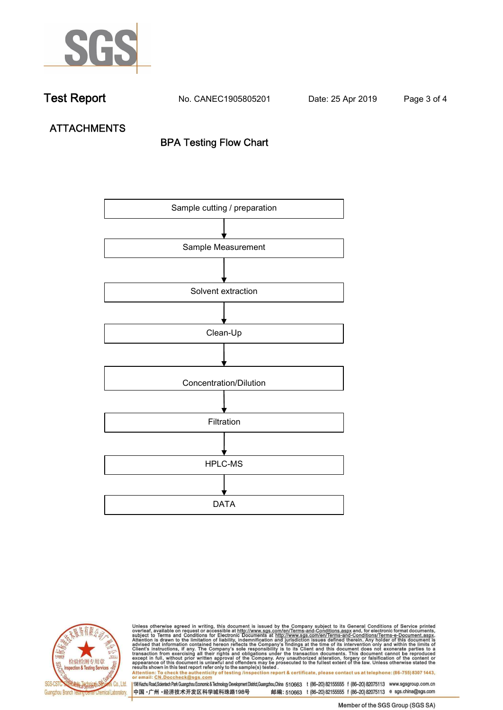

**Test Report. No. CANEC1905805201 Date: 25 Apr 2019. Page 3 of 4.**

**ATTACHMENTS BPA Testing Flow Chart**





Unless otherwise agreed in writing, this document is issued by the Company subject to its General Conditions of Service printed<br>overleaf, available on request or accessible at http://www.sgs.com/en/Terms-and-Conditions.asp results shown in this test report refer only to the sample(s) tested .<br>Attention: To check the authenticity of testing /inspection report & certificate, please contact us at telephone: (86-755) 8307 1443,<br>or email: <u>CN.Doc</u>